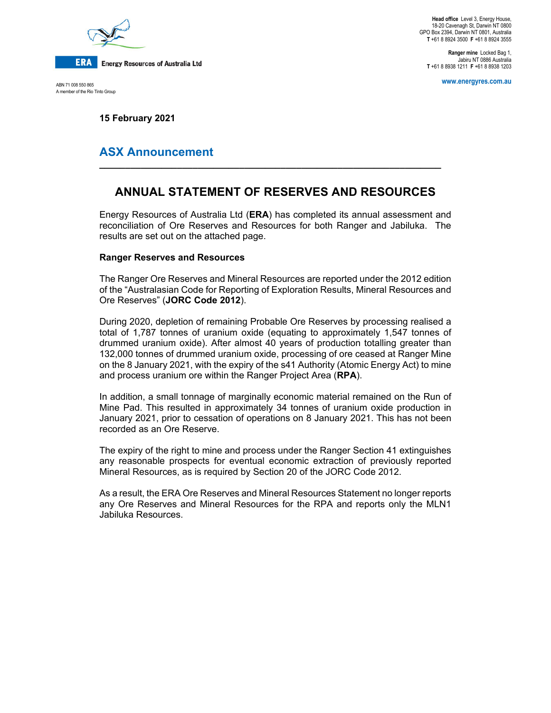

ABN 71 008 550 865 A member of the Rio Tinto Group

**Head office** Level 3, Energy House, 18-20 Cavenagh St, Darwin NT 0800 GPO Box 2394, Darwin NT 0801, Australia **T** +61 8 8924 3500 **F** +61 8 8924 3555

**Ranger mine** Locked Bag 1, Jabiru NT 0886 Australia **T** +61 8 8938 1211 **F** +61 8 8938 1203

**www.energyres.com.au** 

**15 February 2021** 

## **ASX Announcement**

# **ANNUAL STATEMENT OF RESERVES AND RESOURCES**

**\_\_\_\_\_\_\_\_\_\_\_\_\_\_\_\_\_\_\_\_\_\_\_\_\_\_\_\_\_\_\_\_\_\_\_\_\_\_\_\_\_\_\_\_\_\_\_\_\_\_\_\_\_\_\_\_\_\_\_\_\_\_\_\_\_\_** 

Energy Resources of Australia Ltd (**ERA**) has completed its annual assessment and reconciliation of Ore Reserves and Resources for both Ranger and Jabiluka. The results are set out on the attached page.

### **Ranger Reserves and Resources**

The Ranger Ore Reserves and Mineral Resources are reported under the 2012 edition of the "Australasian Code for Reporting of Exploration Results, Mineral Resources and Ore Reserves" (**JORC Code 2012**).

During 2020, depletion of remaining Probable Ore Reserves by processing realised a total of 1,787 tonnes of uranium oxide (equating to approximately 1,547 tonnes of drummed uranium oxide). After almost 40 years of production totalling greater than 132,000 tonnes of drummed uranium oxide, processing of ore ceased at Ranger Mine on the 8 January 2021, with the expiry of the s41 Authority (Atomic Energy Act) to mine and process uranium ore within the Ranger Project Area (**RPA**).

In addition, a small tonnage of marginally economic material remained on the Run of Mine Pad. This resulted in approximately 34 tonnes of uranium oxide production in January 2021, prior to cessation of operations on 8 January 2021. This has not been recorded as an Ore Reserve.

The expiry of the right to mine and process under the Ranger Section 41 extinguishes any reasonable prospects for eventual economic extraction of previously reported Mineral Resources, as is required by Section 20 of the JORC Code 2012.

As a result, the ERA Ore Reserves and Mineral Resources Statement no longer reports any Ore Reserves and Mineral Resources for the RPA and reports only the MLN1 Jabiluka Resources.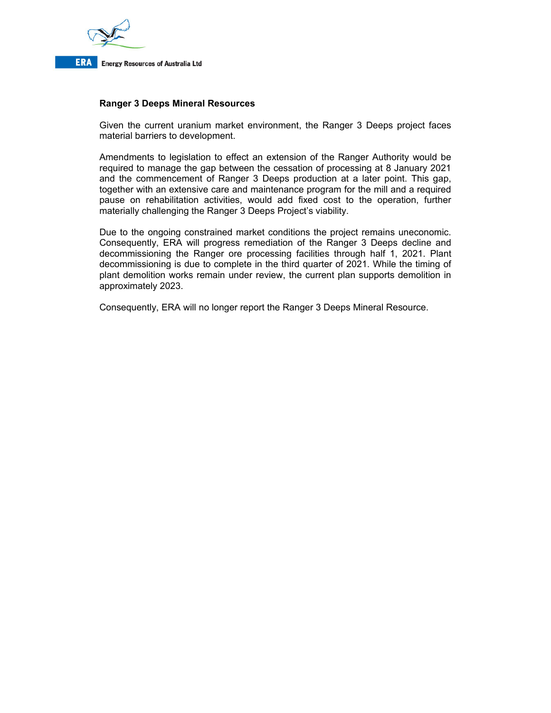

### **Ranger 3 Deeps Mineral Resources**

Given the current uranium market environment, the Ranger 3 Deeps project faces material barriers to development.

Amendments to legislation to effect an extension of the Ranger Authority would be required to manage the gap between the cessation of processing at 8 January 2021 and the commencement of Ranger 3 Deeps production at a later point. This gap, together with an extensive care and maintenance program for the mill and a required pause on rehabilitation activities, would add fixed cost to the operation, further materially challenging the Ranger 3 Deeps Project's viability.

Due to the ongoing constrained market conditions the project remains uneconomic. Consequently, ERA will progress remediation of the Ranger 3 Deeps decline and decommissioning the Ranger ore processing facilities through half 1, 2021. Plant decommissioning is due to complete in the third quarter of 2021. While the timing of plant demolition works remain under review, the current plan supports demolition in approximately 2023.

Consequently, ERA will no longer report the Ranger 3 Deeps Mineral Resource.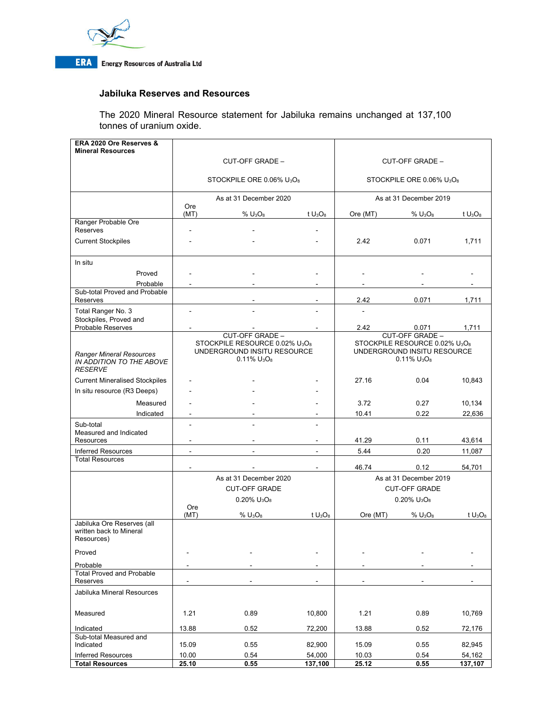

### **Jabiluka Reserves and Resources**

The 2020 Mineral Resource statement for Jabiluka remains unchanged at 137,100 tonnes of uranium oxide.

| ERA 2020 Ore Reserves &<br><b>Mineral Resources</b>                    |                                                                                                            |                 |            |                                                                                                            |                 |            |
|------------------------------------------------------------------------|------------------------------------------------------------------------------------------------------------|-----------------|------------|------------------------------------------------------------------------------------------------------------|-----------------|------------|
|                                                                        | CUT-OFF GRADE -                                                                                            |                 |            | <b>CUT-OFF GRADE -</b>                                                                                     |                 |            |
|                                                                        |                                                                                                            |                 |            |                                                                                                            |                 |            |
|                                                                        | STOCKPILE ORE 0.06% U <sub>3</sub> O <sub>8</sub>                                                          |                 |            | STOCKPILE ORE 0.06% U <sub>3</sub> O <sub>8</sub>                                                          |                 |            |
|                                                                        | As at 31 December 2020<br>Ore                                                                              |                 |            | As at 31 December 2019                                                                                     |                 |            |
|                                                                        | (MT)                                                                                                       | $%$ $U_3O_8$    | t $U_3O_8$ | Ore (MT)                                                                                                   | $%$ $U_3O_8$    | t $U_3O_8$ |
| Ranger Probable Ore<br>Reserves                                        |                                                                                                            |                 |            |                                                                                                            |                 |            |
| <b>Current Stockpiles</b>                                              |                                                                                                            |                 |            | 2.42                                                                                                       | 0.071           | 1,711      |
| In situ                                                                |                                                                                                            |                 |            |                                                                                                            |                 |            |
| Proved                                                                 |                                                                                                            |                 |            |                                                                                                            |                 |            |
| Probable                                                               |                                                                                                            |                 |            |                                                                                                            |                 |            |
| Sub-total Proved and Probable<br>Reserves                              |                                                                                                            |                 |            | 2.42                                                                                                       | 0.071           | 1,711      |
| Total Ranger No. 3<br>Stockpiles, Proved and                           | ÷,                                                                                                         |                 |            | ÷,                                                                                                         |                 |            |
| <b>Probable Reserves</b>                                               |                                                                                                            |                 |            | 2.42                                                                                                       | 0.071           | 1,711      |
|                                                                        |                                                                                                            | CUT-OFF GRADE - |            |                                                                                                            | CUT-OFF GRADE - |            |
| Ranger Mineral Resources<br>IN ADDITION TO THE ABOVE<br><b>RESERVE</b> | STOCKPILE RESOURCE 0.02% U <sub>3</sub> O <sub>8</sub><br>UNDERGROUND INSITU RESOURCE<br>$0.11\%$ $U_3O_8$ |                 |            | STOCKPILE RESOURCE 0.02% U <sub>3</sub> O <sub>8</sub><br>UNDERGROUND INSITU RESOURCE<br>$0.11\%$ $U_3O_8$ |                 |            |
| <b>Current Mineralised Stockpiles</b>                                  |                                                                                                            |                 |            | 27.16                                                                                                      | 0.04            | 10,843     |
| In situ resource (R3 Deeps)                                            |                                                                                                            |                 |            |                                                                                                            |                 |            |
| Measured                                                               |                                                                                                            |                 |            | 3.72                                                                                                       | 0.27            | 10,134     |
| Indicated                                                              |                                                                                                            |                 |            | 10.41                                                                                                      | 0.22            | 22,636     |
| Sub-total<br>Measured and Indicated                                    |                                                                                                            |                 |            |                                                                                                            |                 |            |
| Resources                                                              |                                                                                                            |                 |            | 41.29                                                                                                      | 0.11            | 43,614     |
| <b>Inferred Resources</b>                                              |                                                                                                            |                 | ÷.         | 5.44                                                                                                       | 0.20            | 11,087     |
| <b>Total Resources</b>                                                 |                                                                                                            |                 |            | 46.74                                                                                                      | 0.12            | 54,701     |
|                                                                        | As at 31 December 2020                                                                                     |                 |            | As at 31 December 2019                                                                                     |                 |            |
|                                                                        | <b>CUT-OFF GRADE</b>                                                                                       |                 |            | <b>CUT-OFF GRADE</b>                                                                                       |                 |            |
|                                                                        | $0.20\%$ U <sub>3</sub> O <sub>8</sub>                                                                     |                 |            | $0.20\%$ $U_3O_8$                                                                                          |                 |            |
|                                                                        | Ore<br>(MT)                                                                                                | $%$ $U_3O_8$    | t $U_3O_8$ | Ore (MT)                                                                                                   | $%$ $U_3O_8$    | t $U_3O_8$ |
| Jabiluka Ore Reserves (all<br>written back to Mineral<br>Resources)    |                                                                                                            |                 |            |                                                                                                            |                 |            |
| Proved                                                                 |                                                                                                            |                 |            |                                                                                                            |                 |            |
| Probable                                                               |                                                                                                            |                 |            |                                                                                                            |                 |            |
| <b>Total Proved and Probable</b><br>Reserves                           |                                                                                                            |                 |            |                                                                                                            |                 |            |
| Jabiluka Mineral Resources                                             |                                                                                                            |                 |            |                                                                                                            |                 |            |
| Measured                                                               | 1.21                                                                                                       | 0.89            | 10,800     | 1.21                                                                                                       | 0.89            | 10,769     |
| Indicated                                                              | 13.88                                                                                                      | 0.52            | 72,200     | 13.88                                                                                                      | 0.52            | 72,176     |
| Sub-total Measured and<br>Indicated                                    | 15.09                                                                                                      | 0.55            | 82,900     | 15.09                                                                                                      | 0.55            | 82,945     |
| <b>Inferred Resources</b>                                              | 10.00                                                                                                      | 0.54            | 54,000     | 10.03                                                                                                      | 0.54            | 54,162     |
| <b>Total Resources</b>                                                 | 25.10                                                                                                      | 0.55            | 137,100    | 25.12                                                                                                      | 0.55            | 137,107    |